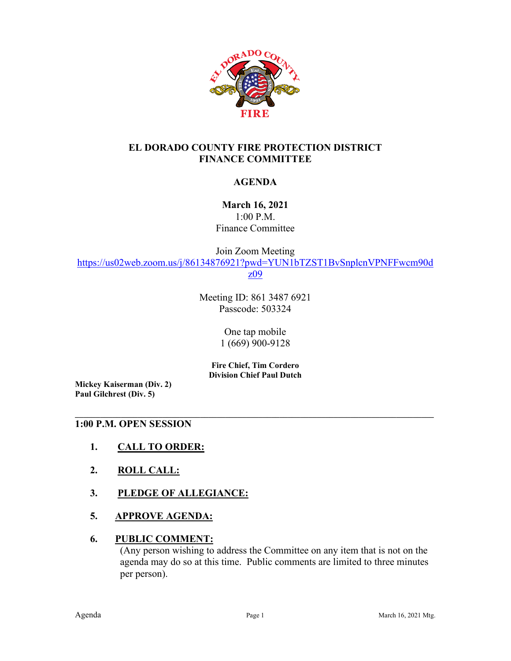

## **EL DORADO COUNTY FIRE PROTECTION DISTRICT FINANCE COMMITTEE**

### **AGENDA**

**March 16, 2021** 1:00 P.M. Finance Committee

Join Zoom Meeting [https://us02web.zoom.us/j/86134876921?pwd=YUN1bTZST1BvSnplcnVPNFFwcm90d](https://us02web.zoom.us/j/86134876921?pwd=YUN1bTZST1BvSnplcnVPNFFwcm90dz09) [z09](https://us02web.zoom.us/j/86134876921?pwd=YUN1bTZST1BvSnplcnVPNFFwcm90dz09)

> Meeting ID: 861 3487 6921 Passcode: 503324

> > One tap mobile 1 (669) 900-9128

**Fire Chief, Tim Cordero Division Chief Paul Dutch**

**\_\_\_\_\_\_\_\_\_\_\_\_\_\_\_\_\_\_\_\_\_\_\_\_\_\_\_\_\_\_\_\_\_\_\_\_\_\_\_\_\_\_\_\_\_\_\_\_\_\_\_\_\_\_\_\_\_\_\_\_\_\_\_\_\_\_\_\_\_\_\_\_\_\_\_\_\_\_\_\_\_\_\_\_\_\_**

**Mickey Kaiserman (Div. 2) Paul Gilchrest (Div. 5)** 

#### **1:00 P.M. OPEN SESSION**

- **1. CALL TO ORDER:**
- **2. ROLL CALL:**
- **3. PLEDGE OF ALLEGIANCE:**
- **5. APPROVE AGENDA:**

#### **6. PUBLIC COMMENT:**

(Any person wishing to address the Committee on any item that is not on the agenda may do so at this time. Public comments are limited to three minutes per person).